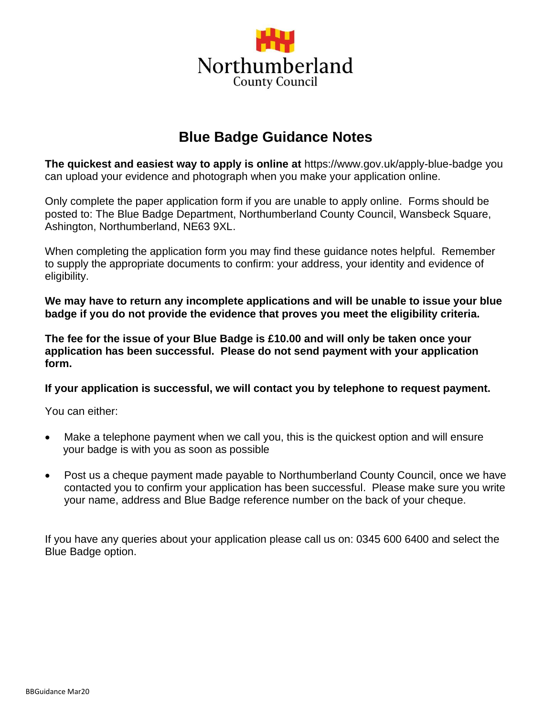

### **Blue Badge Guidance Notes**

**The quickest and easiest way to apply is online at** https://www.gov.uk/apply-blue-badge you can upload your evidence and photograph when you make your application online.

Only complete the paper application form if you are unable to apply online. Forms should be posted to: The Blue Badge Department, Northumberland County Council, Wansbeck Square, Ashington, Northumberland, NE63 9XL.

When completing the application form you may find these guidance notes helpful. Remember to supply the appropriate documents to confirm: your address, your identity and evidence of eligibility.

**We may have to return any incomplete applications and will be unable to issue your blue badge if you do not provide the evidence that proves you meet the eligibility criteria.**

**The fee for the issue of your Blue Badge is £10.00 and will only be taken once your application has been successful. Please do not send payment with your application form.**

**If your application is successful, we will contact you by telephone to request payment.** 

You can either:

- Make a telephone payment when we call you, this is the quickest option and will ensure your badge is with you as soon as possible
- Post us a cheque payment made payable to Northumberland County Council, once we have contacted you to confirm your application has been successful. Please make sure you write your name, address and Blue Badge reference number on the back of your cheque.

If you have any queries about your application please call us on: 0345 600 6400 and select the Blue Badge option.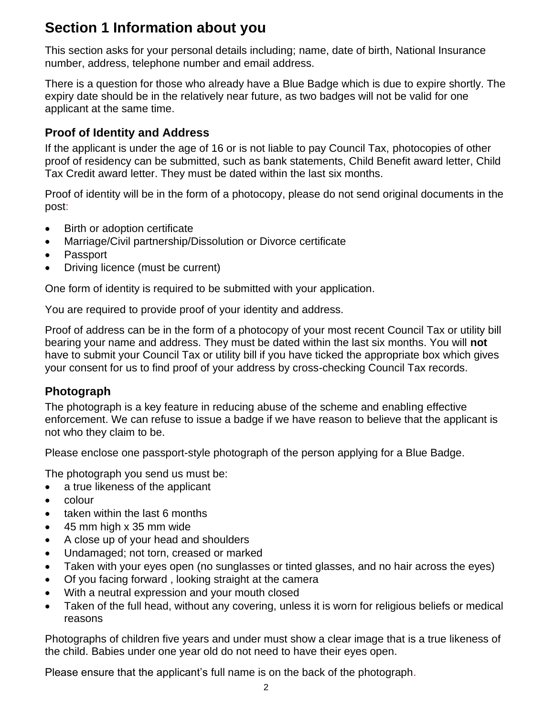# **Section 1 Information about you**

This section asks for your personal details including; name, date of birth, National Insurance number, address, telephone number and email address.

There is a question for those who already have a Blue Badge which is due to expire shortly. The expiry date should be in the relatively near future, as two badges will not be valid for one applicant at the same time.

### **Proof of Identity and Address**

If the applicant is under the age of 16 or is not liable to pay Council Tax, photocopies of other proof of residency can be submitted, such as bank statements, Child Benefit award letter, Child Tax Credit award letter. They must be dated within the last six months.

Proof of identity will be in the form of a photocopy, please do not send original documents in the post:

- Birth or adoption certificate
- Marriage/Civil partnership/Dissolution or Divorce certificate
- Passport
- Driving licence (must be current)

One form of identity is required to be submitted with your application.

You are required to provide proof of your identity and address.

Proof of address can be in the form of a photocopy of your most recent Council Tax or utility bill bearing your name and address. They must be dated within the last six months. You will **not**  have to submit your Council Tax or utility bill if you have ticked the appropriate box which gives your consent for us to find proof of your address by cross-checking Council Tax records.

### **Photograph**

The photograph is a key feature in reducing abuse of the scheme and enabling effective enforcement. We can refuse to issue a badge if we have reason to believe that the applicant is not who they claim to be.

Please enclose one passport-style photograph of the person applying for a Blue Badge.

The photograph you send us must be:

- a true likeness of the applicant
- colour
- taken within the last 6 months
- 45 mm high x 35 mm wide
- A close up of your head and shoulders
- Undamaged; not torn, creased or marked
- Taken with your eyes open (no sunglasses or tinted glasses, and no hair across the eyes)
- Of you facing forward , looking straight at the camera
- With a neutral expression and your mouth closed
- Taken of the full head, without any covering, unless it is worn for religious beliefs or medical reasons

Photographs of children five years and under must show a clear image that is a true likeness of the child. Babies under one year old do not need to have their eyes open.

Please ensure that the applicant's full name is on the back of the photograph.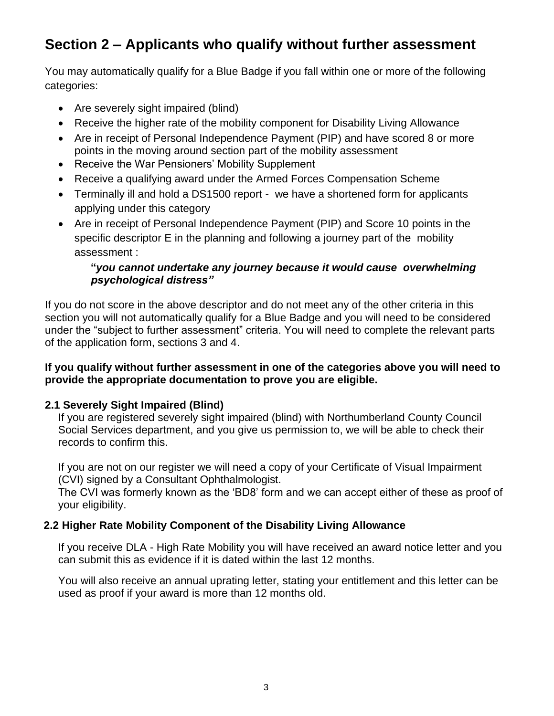# **Section 2 – Applicants who qualify without further assessment**

You may automatically qualify for a Blue Badge if you fall within one or more of the following categories:

- Are severely sight impaired (blind)
- Receive the higher rate of the mobility component for Disability Living Allowance
- Are in receipt of Personal Independence Payment (PIP) and have scored 8 or more points in the moving around section part of the mobility assessment
- Receive the War Pensioners' Mobility Supplement
- Receive a qualifying award under the Armed Forces Compensation Scheme
- Terminally ill and hold a DS1500 report we have a shortened form for applicants applying under this category
- Are in receipt of Personal Independence Payment (PIP) and Score 10 points in the specific descriptor E in the planning and following a journey part of the mobility assessment :

#### **"***you cannot undertake any journey because it would cause overwhelming psychological distress"*

If you do not score in the above descriptor and do not meet any of the other criteria in this section you will not automatically qualify for a Blue Badge and you will need to be considered under the "subject to further assessment" criteria. You will need to complete the relevant parts of the application form, sections 3 and 4.

#### **If you qualify without further assessment in one of the categories above you will need to provide the appropriate documentation to prove you are eligible.**

#### **2.1 Severely Sight Impaired (Blind)**

If you are registered severely sight impaired (blind) with Northumberland County Council Social Services department, and you give us permission to, we will be able to check their records to confirm this.

If you are not on our register we will need a copy of your Certificate of Visual Impairment (CVI) signed by a Consultant Ophthalmologist.

The CVI was formerly known as the 'BD8' form and we can accept either of these as proof of your eligibility.

### **2.2 Higher Rate Mobility Component of the Disability Living Allowance**

 If you receive DLA - High Rate Mobility you will have received an award notice letter and you can submit this as evidence if it is dated within the last 12 months.

 You will also receive an annual uprating letter, stating your entitlement and this letter can be used as proof if your award is more than 12 months old.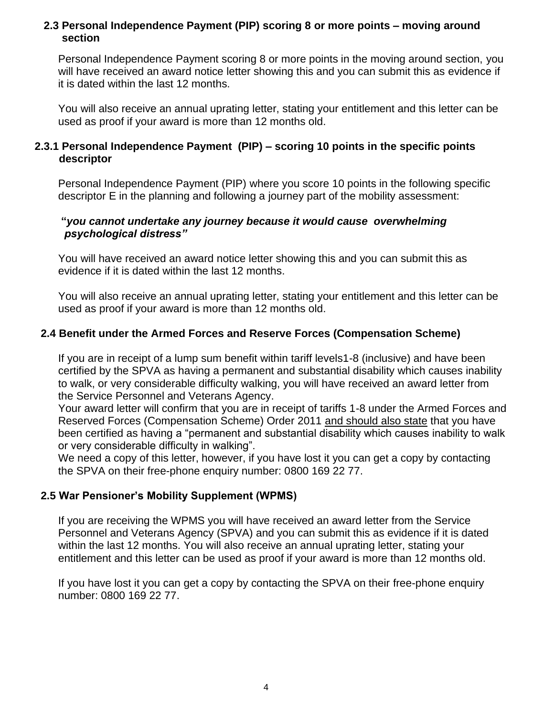#### **2.3 Personal Independence Payment (PIP) scoring 8 or more points – moving around section**

Personal Independence Payment scoring 8 or more points in the moving around section, you will have received an award notice letter showing this and you can submit this as evidence if it is dated within the last 12 months.

 You will also receive an annual uprating letter, stating your entitlement and this letter can be used as proof if your award is more than 12 months old.

#### **2.3.1 Personal Independence Payment (PIP) – scoring 10 points in the specific points descriptor**

Personal Independence Payment (PIP) where you score 10 points in the following specific descriptor E in the planning and following a journey part of the mobility assessment:

#### **"***you cannot undertake any journey because it would cause overwhelming psychological distress"*

You will have received an award notice letter showing this and you can submit this as evidence if it is dated within the last 12 months.

You will also receive an annual uprating letter, stating your entitlement and this letter can be used as proof if your award is more than 12 months old.

#### **2.4 Benefit under the Armed Forces and Reserve Forces (Compensation Scheme)**

If you are in receipt of a lump sum benefit within tariff levels1-8 (inclusive) and have been certified by the SPVA as having a permanent and substantial disability which causes inability to walk, or very considerable difficulty walking, you will have received an award letter from the Service Personnel and Veterans Agency.

Your award letter will confirm that you are in receipt of tariffs 1-8 under the Armed Forces and Reserved Forces (Compensation Scheme) Order 2011 and should also state that you have been certified as having a "permanent and substantial disability which causes inability to walk or very considerable difficulty in walking".

We need a copy of this letter, however, if you have lost it you can get a copy by contacting the SPVA on their free-phone enquiry number: 0800 169 22 77.

#### **2.5 War Pensioner's Mobility Supplement (WPMS)**

If you are receiving the WPMS you will have received an award letter from the Service Personnel and Veterans Agency (SPVA) and you can submit this as evidence if it is dated within the last 12 months. You will also receive an annual uprating letter, stating your entitlement and this letter can be used as proof if your award is more than 12 months old.

If you have lost it you can get a copy by contacting the SPVA on their free-phone enquiry number: 0800 169 22 77.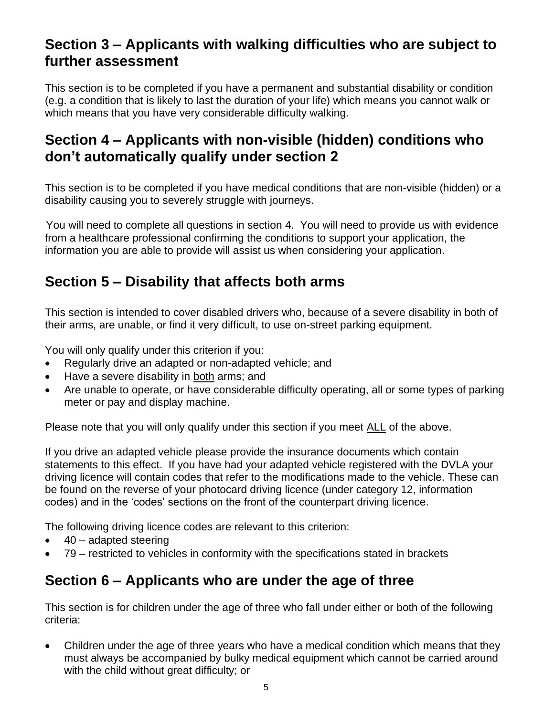## **Section 3 – Applicants with walking difficulties who are subject to further assessment**

This section is to be completed if you have a permanent and substantial disability or condition (e.g. a condition that is likely to last the duration of your life) which means you cannot walk or which means that you have very considerable difficulty walking.

## **Section 4 – Applicants with non-visible (hidden) conditions who don't automatically qualify under section 2**

This section is to be completed if you have medical conditions that are non-visible (hidden) or a disability causing you to severely struggle with journeys.

You will need to complete all questions in section 4. You will need to provide us with evidence from a healthcare professional confirming the conditions to support your application, the information you are able to provide will assist us when considering your application.

# **Section 5 – Disability that affects both arms**

This section is intended to cover disabled drivers who, because of a severe disability in both of their arms, are unable, or find it very difficult, to use on-street parking equipment.

You will only qualify under this criterion if you:

- Regularly drive an adapted or non-adapted vehicle; and
- Have a severe disability in both arms; and
- Are unable to operate, or have considerable difficulty operating, all or some types of parking meter or pay and display machine.

Please note that you will only qualify under this section if you meet ALL of the above.

If you drive an adapted vehicle please provide the insurance documents which contain statements to this effect. If you have had your adapted vehicle registered with the DVLA your driving licence will contain codes that refer to the modifications made to the vehicle. These can be found on the reverse of your photocard driving licence (under category 12, information codes) and in the 'codes' sections on the front of the counterpart driving licence.

The following driving licence codes are relevant to this criterion:

- $\bullet$  40 adapted steering
- 79 restricted to vehicles in conformity with the specifications stated in brackets

### **Section 6 – Applicants who are under the age of three**

This section is for children under the age of three who fall under either or both of the following criteria:

• Children under the age of three years who have a medical condition which means that they must always be accompanied by bulky medical equipment which cannot be carried around with the child without great difficulty; or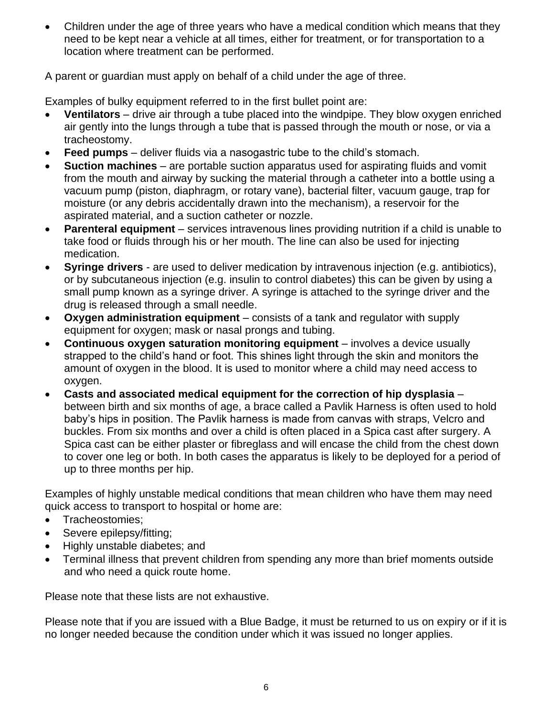• Children under the age of three years who have a medical condition which means that they need to be kept near a vehicle at all times, either for treatment, or for transportation to a location where treatment can be performed.

A parent or guardian must apply on behalf of a child under the age of three.

Examples of bulky equipment referred to in the first bullet point are:

- **Ventilators** drive air through a tube placed into the windpipe. They blow oxygen enriched air gently into the lungs through a tube that is passed through the mouth or nose, or via a tracheostomy.
- **Feed pumps** deliver fluids via a nasogastric tube to the child's stomach.
- **Suction machines** are portable suction apparatus used for aspirating fluids and vomit from the mouth and airway by sucking the material through a catheter into a bottle using a vacuum pump (piston, diaphragm, or rotary vane), bacterial filter, vacuum gauge, trap for moisture (or any debris accidentally drawn into the mechanism), a reservoir for the aspirated material, and a suction catheter or nozzle.
- **Parenteral equipment** services intravenous lines providing nutrition if a child is unable to take food or fluids through his or her mouth. The line can also be used for injecting medication.
- **Syringe drivers**  are used to deliver medication by intravenous injection (e.g. antibiotics), or by subcutaneous injection (e.g. insulin to control diabetes) this can be given by using a small pump known as a syringe driver. A syringe is attached to the syringe driver and the drug is released through a small needle.
- **Oxygen administration equipment** consists of a tank and regulator with supply equipment for oxygen; mask or nasal prongs and tubing.
- **Continuous oxygen saturation monitoring equipment** involves a device usually strapped to the child's hand or foot. This shines light through the skin and monitors the amount of oxygen in the blood. It is used to monitor where a child may need access to oxygen.
- **Casts and associated medical equipment for the correction of hip dysplasia** between birth and six months of age, a brace called a Pavlik Harness is often used to hold baby's hips in position. The Pavlik harness is made from canvas with straps, Velcro and buckles. From six months and over a child is often placed in a Spica cast after surgery. A Spica cast can be either plaster or fibreglass and will encase the child from the chest down to cover one leg or both. In both cases the apparatus is likely to be deployed for a period of up to three months per hip.

Examples of highly unstable medical conditions that mean children who have them may need quick access to transport to hospital or home are:

- Tracheostomies;
- Severe epilepsy/fitting;
- Highly unstable diabetes; and
- Terminal illness that prevent children from spending any more than brief moments outside and who need a quick route home.

Please note that these lists are not exhaustive.

Please note that if you are issued with a Blue Badge, it must be returned to us on expiry or if it is no longer needed because the condition under which it was issued no longer applies.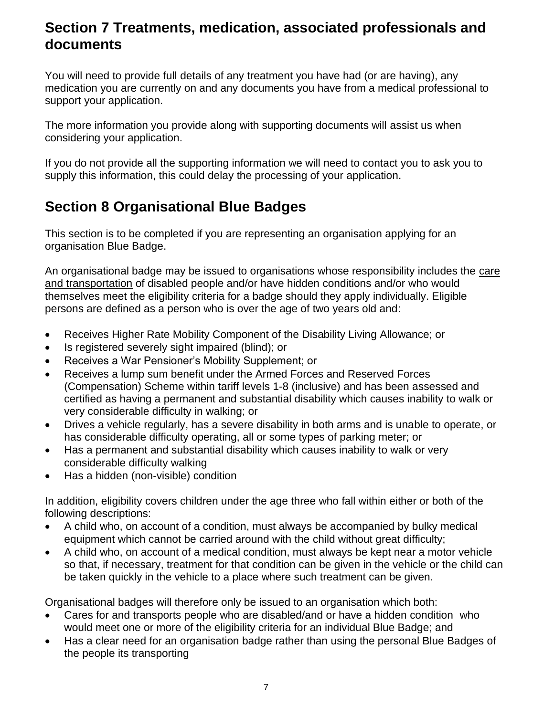### **Section 7 Treatments, medication, associated professionals and documents**

You will need to provide full details of any treatment you have had (or are having), any medication you are currently on and any documents you have from a medical professional to support your application.

The more information you provide along with supporting documents will assist us when considering your application.

If you do not provide all the supporting information we will need to contact you to ask you to supply this information, this could delay the processing of your application.

# **Section 8 Organisational Blue Badges**

This section is to be completed if you are representing an organisation applying for an organisation Blue Badge.

An organisational badge may be issued to organisations whose responsibility includes the care and transportation of disabled people and/or have hidden conditions and/or who would themselves meet the eligibility criteria for a badge should they apply individually. Eligible persons are defined as a person who is over the age of two years old and:

- Receives Higher Rate Mobility Component of the Disability Living Allowance; or
- Is registered severely sight impaired (blind); or
- Receives a War Pensioner's Mobility Supplement; or
- Receives a lump sum benefit under the Armed Forces and Reserved Forces (Compensation) Scheme within tariff levels 1-8 (inclusive) and has been assessed and certified as having a permanent and substantial disability which causes inability to walk or very considerable difficulty in walking; or
- Drives a vehicle regularly, has a severe disability in both arms and is unable to operate, or has considerable difficulty operating, all or some types of parking meter; or
- Has a permanent and substantial disability which causes inability to walk or very considerable difficulty walking
- Has a hidden (non-visible) condition

In addition, eligibility covers children under the age three who fall within either or both of the following descriptions:

- A child who, on account of a condition, must always be accompanied by bulky medical equipment which cannot be carried around with the child without great difficulty;
- A child who, on account of a medical condition, must always be kept near a motor vehicle so that, if necessary, treatment for that condition can be given in the vehicle or the child can be taken quickly in the vehicle to a place where such treatment can be given.

Organisational badges will therefore only be issued to an organisation which both:

- Cares for and transports people who are disabled/and or have a hidden condition who would meet one or more of the eligibility criteria for an individual Blue Badge; and
- Has a clear need for an organisation badge rather than using the personal Blue Badges of the people its transporting